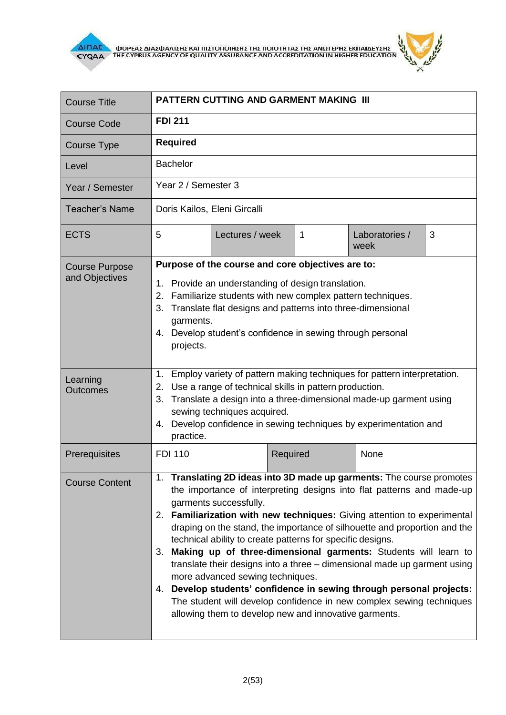



| <b>Course Title</b>                     | <b>PATTERN CUTTING AND GARMENT MAKING III</b>                                                                                                                                                                                                                                                                                                                                                                                                                                                                                                                                                                                                                                                                                                                                                     |          |                        |   |
|-----------------------------------------|---------------------------------------------------------------------------------------------------------------------------------------------------------------------------------------------------------------------------------------------------------------------------------------------------------------------------------------------------------------------------------------------------------------------------------------------------------------------------------------------------------------------------------------------------------------------------------------------------------------------------------------------------------------------------------------------------------------------------------------------------------------------------------------------------|----------|------------------------|---|
| <b>Course Code</b>                      | <b>FDI 211</b>                                                                                                                                                                                                                                                                                                                                                                                                                                                                                                                                                                                                                                                                                                                                                                                    |          |                        |   |
| Course Type                             | <b>Required</b>                                                                                                                                                                                                                                                                                                                                                                                                                                                                                                                                                                                                                                                                                                                                                                                   |          |                        |   |
| Level                                   | <b>Bachelor</b>                                                                                                                                                                                                                                                                                                                                                                                                                                                                                                                                                                                                                                                                                                                                                                                   |          |                        |   |
| Year / Semester                         | Year 2 / Semester 3                                                                                                                                                                                                                                                                                                                                                                                                                                                                                                                                                                                                                                                                                                                                                                               |          |                        |   |
| <b>Teacher's Name</b>                   | Doris Kailos, Eleni Gircalli                                                                                                                                                                                                                                                                                                                                                                                                                                                                                                                                                                                                                                                                                                                                                                      |          |                        |   |
| <b>ECTS</b>                             | 5<br>Lectures / week                                                                                                                                                                                                                                                                                                                                                                                                                                                                                                                                                                                                                                                                                                                                                                              | 1        | Laboratories /<br>week | 3 |
| <b>Course Purpose</b><br>and Objectives | Purpose of the course and core objectives are to:<br>1. Provide an understanding of design translation.<br>2. Familiarize students with new complex pattern techniques.<br>Translate flat designs and patterns into three-dimensional<br>3.<br>garments.<br>Develop student's confidence in sewing through personal<br>4.<br>projects.                                                                                                                                                                                                                                                                                                                                                                                                                                                            |          |                        |   |
| Learning<br><b>Outcomes</b>             | Employ variety of pattern making techniques for pattern interpretation.<br>1.<br>Use a range of technical skills in pattern production.<br>2.<br>Translate a design into a three-dimensional made-up garment using<br>3.<br>sewing techniques acquired.<br>Develop confidence in sewing techniques by experimentation and<br>4.<br>practice.                                                                                                                                                                                                                                                                                                                                                                                                                                                      |          |                        |   |
| Prerequisites                           | <b>FDI 110</b>                                                                                                                                                                                                                                                                                                                                                                                                                                                                                                                                                                                                                                                                                                                                                                                    | Required | None                   |   |
| <b>Course Content</b>                   | 1. Translating 2D ideas into 3D made up garments: The course promotes<br>the importance of interpreting designs into flat patterns and made-up<br>garments successfully.<br>2. Familiarization with new techniques: Giving attention to experimental<br>draping on the stand, the importance of silhouette and proportion and the<br>technical ability to create patterns for specific designs.<br>Making up of three-dimensional garments: Students will learn to<br>3.<br>translate their designs into a three - dimensional made up garment using<br>more advanced sewing techniques.<br>4. Develop students' confidence in sewing through personal projects:<br>The student will develop confidence in new complex sewing techniques<br>allowing them to develop new and innovative garments. |          |                        |   |